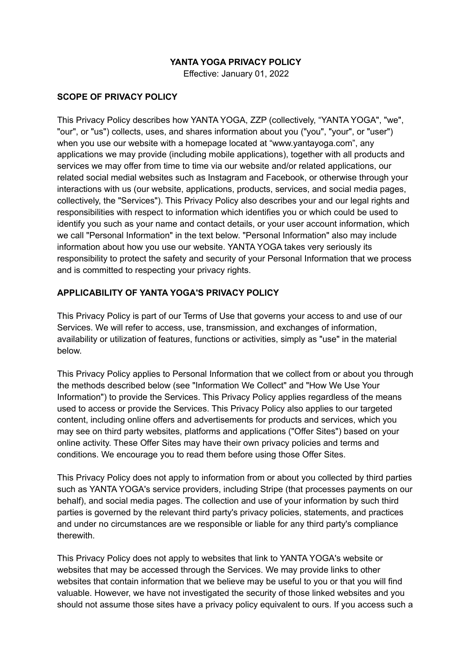### **YANTA YOGA PRIVACY POLICY**

Effective: January 01, 2022

### **SCOPE OF PRIVACY POLICY**

This Privacy Policy describes how YANTA YOGA, ZZP (collectively, "YANTA YOGA", "we", "our", or "us") collects, uses, and shares information about you ("you", "your", or "user") when you use our website with a homepage located at "www.yantayoga.com", any applications we may provide (including mobile applications), together with all products and services we may offer from time to time via our website and/or related applications, our related social medial websites such as Instagram and Facebook, or otherwise through your interactions with us (our website, applications, products, services, and social media pages, collectively, the "Services"). This Privacy Policy also describes your and our legal rights and responsibilities with respect to information which identifies you or which could be used to identify you such as your name and contact details, or your user account information, which we call "Personal Information" in the text below. "Personal Information" also may include information about how you use our website. YANTA YOGA takes very seriously its responsibility to protect the safety and security of your Personal Information that we process and is committed to respecting your privacy rights.

### **APPLICABILITY OF YANTA YOGA'S PRIVACY POLICY**

This Privacy Policy is part of our Terms of Use that governs your access to and use of our Services. We will refer to access, use, transmission, and exchanges of information, availability or utilization of features, functions or activities, simply as "use" in the material below.

This Privacy Policy applies to Personal Information that we collect from or about you through the methods described below (see "Information We Collect" and "How We Use Your Information") to provide the Services. This Privacy Policy applies regardless of the means used to access or provide the Services. This Privacy Policy also applies to our targeted content, including online offers and advertisements for products and services, which you may see on third party websites, platforms and applications ("Offer Sites") based on your online activity. These Offer Sites may have their own privacy policies and terms and conditions. We encourage you to read them before using those Offer Sites.

This Privacy Policy does not apply to information from or about you collected by third parties such as YANTA YOGA's service providers, including Stripe (that processes payments on our behalf), and social media pages. The collection and use of your information by such third parties is governed by the relevant third party's privacy policies, statements, and practices and under no circumstances are we responsible or liable for any third party's compliance therewith.

This Privacy Policy does not apply to websites that link to YANTA YOGA's website or websites that may be accessed through the Services. We may provide links to other websites that contain information that we believe may be useful to you or that you will find valuable. However, we have not investigated the security of those linked websites and you should not assume those sites have a privacy policy equivalent to ours. If you access such a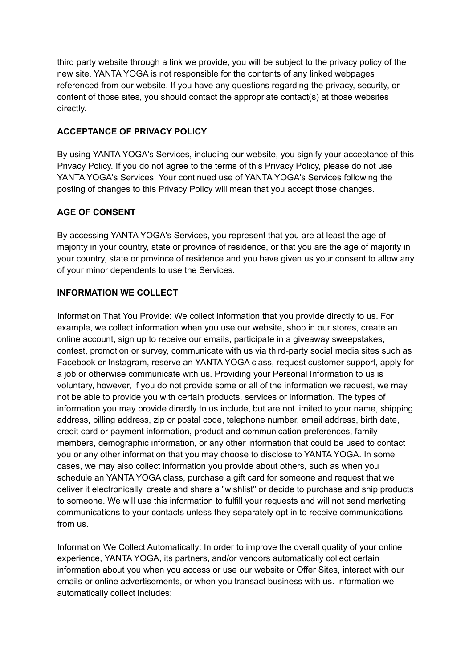third party website through a link we provide, you will be subject to the privacy policy of the new site. YANTA YOGA is not responsible for the contents of any linked webpages referenced from our website. If you have any questions regarding the privacy, security, or content of those sites, you should contact the appropriate contact(s) at those websites directly.

### **ACCEPTANCE OF PRIVACY POLICY**

By using YANTA YOGA's Services, including our website, you signify your acceptance of this Privacy Policy. If you do not agree to the terms of this Privacy Policy, please do not use YANTA YOGA's Services. Your continued use of YANTA YOGA's Services following the posting of changes to this Privacy Policy will mean that you accept those changes.

### **AGE OF CONSENT**

By accessing YANTA YOGA's Services, you represent that you are at least the age of majority in your country, state or province of residence, or that you are the age of majority in your country, state or province of residence and you have given us your consent to allow any of your minor dependents to use the Services.

## **INFORMATION WE COLLECT**

Information That You Provide: We collect information that you provide directly to us. For example, we collect information when you use our website, shop in our stores, create an online account, sign up to receive our emails, participate in a giveaway sweepstakes, contest, promotion or survey, communicate with us via third-party social media sites such as Facebook or Instagram, reserve an YANTA YOGA class, request customer support, apply for a job or otherwise communicate with us. Providing your Personal Information to us is voluntary, however, if you do not provide some or all of the information we request, we may not be able to provide you with certain products, services or information. The types of information you may provide directly to us include, but are not limited to your name, shipping address, billing address, zip or postal code, telephone number, email address, birth date, credit card or payment information, product and communication preferences, family members, demographic information, or any other information that could be used to contact you or any other information that you may choose to disclose to YANTA YOGA. In some cases, we may also collect information you provide about others, such as when you schedule an YANTA YOGA class, purchase a gift card for someone and request that we deliver it electronically, create and share a "wishlist" or decide to purchase and ship products to someone. We will use this information to fulfill your requests and will not send marketing communications to your contacts unless they separately opt in to receive communications from us.

Information We Collect Automatically: In order to improve the overall quality of your online experience, YANTA YOGA, its partners, and/or vendors automatically collect certain information about you when you access or use our website or Offer Sites, interact with our emails or online advertisements, or when you transact business with us. Information we automatically collect includes: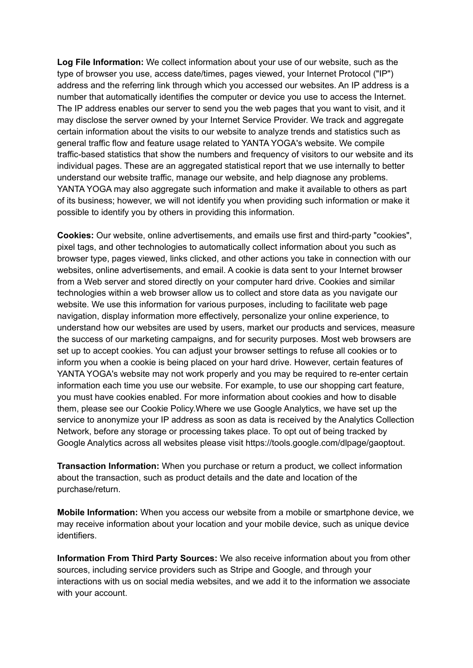**Log File Information:** We collect information about your use of our website, such as the type of browser you use, access date/times, pages viewed, your Internet Protocol ("IP") address and the referring link through which you accessed our websites. An IP address is a number that automatically identifies the computer or device you use to access the Internet. The IP address enables our server to send you the web pages that you want to visit, and it may disclose the server owned by your Internet Service Provider. We track and aggregate certain information about the visits to our website to analyze trends and statistics such as general traffic flow and feature usage related to YANTA YOGA's website. We compile traffic-based statistics that show the numbers and frequency of visitors to our website and its individual pages. These are an aggregated statistical report that we use internally to better understand our website traffic, manage our website, and help diagnose any problems. YANTA YOGA may also aggregate such information and make it available to others as part of its business; however, we will not identify you when providing such information or make it possible to identify you by others in providing this information.

**Cookies:** Our website, online advertisements, and emails use first and third-party "cookies", pixel tags, and other technologies to automatically collect information about you such as browser type, pages viewed, links clicked, and other actions you take in connection with our websites, online advertisements, and email. A cookie is data sent to your Internet browser from a Web server and stored directly on your computer hard drive. Cookies and similar technologies within a web browser allow us to collect and store data as you navigate our website. We use this information for various purposes, including to facilitate web page navigation, display information more effectively, personalize your online experience, to understand how our websites are used by users, market our products and services, measure the success of our marketing campaigns, and for security purposes. Most web browsers are set up to accept cookies. You can adjust your browser settings to refuse all cookies or to inform you when a cookie is being placed on your hard drive. However, certain features of YANTA YOGA's website may not work properly and you may be required to re-enter certain information each time you use our website. For example, to use our shopping cart feature, you must have cookies enabled. For more information about cookies and how to disable them, please see our Cookie Policy.Where we use Google Analytics, we have set up the service to anonymize your IP address as soon as data is received by the Analytics Collection Network, before any storage or processing takes place. To opt out of being tracked by Google Analytics across all websites please visit https://tools.google.com/dlpage/gaoptout.

**Transaction Information:** When you purchase or return a product, we collect information about the transaction, such as product details and the date and location of the purchase/return.

**Mobile Information:** When you access our website from a mobile or smartphone device, we may receive information about your location and your mobile device, such as unique device identifiers.

**Information From Third Party Sources:** We also receive information about you from other sources, including service providers such as Stripe and Google, and through your interactions with us on social media websites, and we add it to the information we associate with your account.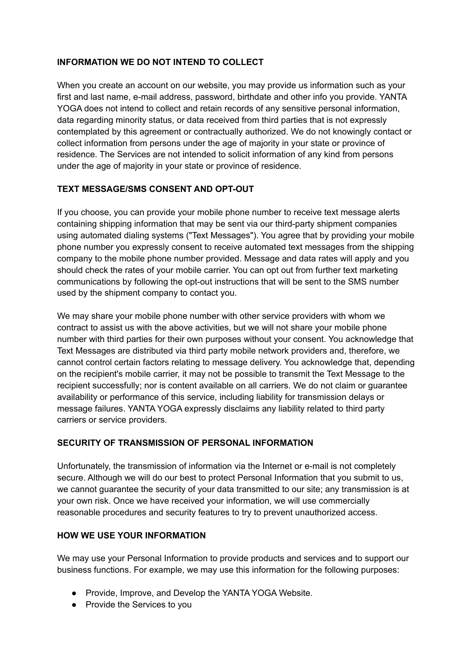### **INFORMATION WE DO NOT INTEND TO COLLECT**

When you create an account on our website, you may provide us information such as your first and last name, e-mail address, password, birthdate and other info you provide. YANTA YOGA does not intend to collect and retain records of any sensitive personal information, data regarding minority status, or data received from third parties that is not expressly contemplated by this agreement or contractually authorized. We do not knowingly contact or collect information from persons under the age of majority in your state or province of residence. The Services are not intended to solicit information of any kind from persons under the age of majority in your state or province of residence.

# **TEXT MESSAGE/SMS CONSENT AND OPT-OUT**

If you choose, you can provide your mobile phone number to receive text message alerts containing shipping information that may be sent via our third-party shipment companies using automated dialing systems ("Text Messages"). You agree that by providing your mobile phone number you expressly consent to receive automated text messages from the shipping company to the mobile phone number provided. Message and data rates will apply and you should check the rates of your mobile carrier. You can opt out from further text marketing communications by following the opt-out instructions that will be sent to the SMS number used by the shipment company to contact you.

We may share your mobile phone number with other service providers with whom we contract to assist us with the above activities, but we will not share your mobile phone number with third parties for their own purposes without your consent. You acknowledge that Text Messages are distributed via third party mobile network providers and, therefore, we cannot control certain factors relating to message delivery. You acknowledge that, depending on the recipient's mobile carrier, it may not be possible to transmit the Text Message to the recipient successfully; nor is content available on all carriers. We do not claim or guarantee availability or performance of this service, including liability for transmission delays or message failures. YANTA YOGA expressly disclaims any liability related to third party carriers or service providers.

### **SECURITY OF TRANSMISSION OF PERSONAL INFORMATION**

Unfortunately, the transmission of information via the Internet or e-mail is not completely secure. Although we will do our best to protect Personal Information that you submit to us, we cannot guarantee the security of your data transmitted to our site; any transmission is at your own risk. Once we have received your information, we will use commercially reasonable procedures and security features to try to prevent unauthorized access.

### **HOW WE USE YOUR INFORMATION**

We may use your Personal Information to provide products and services and to support our business functions. For example, we may use this information for the following purposes:

- Provide, Improve, and Develop the YANTA YOGA Website.
- Provide the Services to you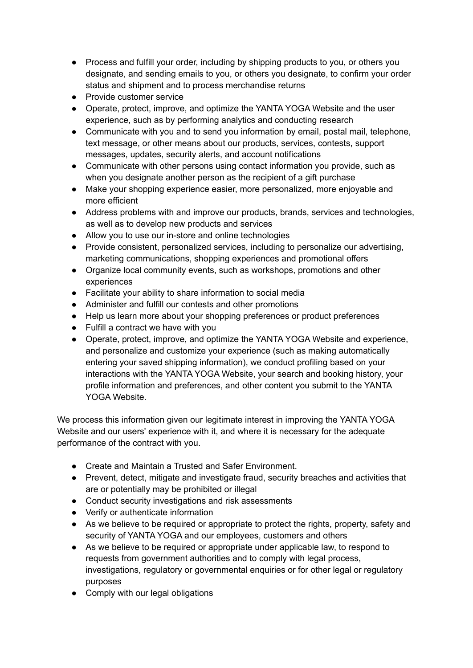- Process and fulfill your order, including by shipping products to you, or others you designate, and sending emails to you, or others you designate, to confirm your order status and shipment and to process merchandise returns
- Provide customer service
- Operate, protect, improve, and optimize the YANTA YOGA Website and the user experience, such as by performing analytics and conducting research
- Communicate with you and to send you information by email, postal mail, telephone, text message, or other means about our products, services, contests, support messages, updates, security alerts, and account notifications
- Communicate with other persons using contact information you provide, such as when you designate another person as the recipient of a gift purchase
- Make your shopping experience easier, more personalized, more enjoyable and more efficient
- Address problems with and improve our products, brands, services and technologies, as well as to develop new products and services
- Allow you to use our in-store and online technologies
- Provide consistent, personalized services, including to personalize our advertising, marketing communications, shopping experiences and promotional offers
- Organize local community events, such as workshops, promotions and other experiences
- Facilitate your ability to share information to social media
- Administer and fulfill our contests and other promotions
- Help us learn more about your shopping preferences or product preferences
- Fulfill a contract we have with you
- Operate, protect, improve, and optimize the YANTA YOGA Website and experience, and personalize and customize your experience (such as making automatically entering your saved shipping information), we conduct profiling based on your interactions with the YANTA YOGA Website, your search and booking history, your profile information and preferences, and other content you submit to the YANTA YOGA Website.

We process this information given our legitimate interest in improving the YANTA YOGA Website and our users' experience with it, and where it is necessary for the adequate performance of the contract with you.

- Create and Maintain a Trusted and Safer Environment.
- Prevent, detect, mitigate and investigate fraud, security breaches and activities that are or potentially may be prohibited or illegal
- Conduct security investigations and risk assessments
- Verify or authenticate information
- As we believe to be required or appropriate to protect the rights, property, safety and security of YANTA YOGA and our employees, customers and others
- As we believe to be required or appropriate under applicable law, to respond to requests from government authorities and to comply with legal process, investigations, regulatory or governmental enquiries or for other legal or regulatory purposes
- Comply with our legal obligations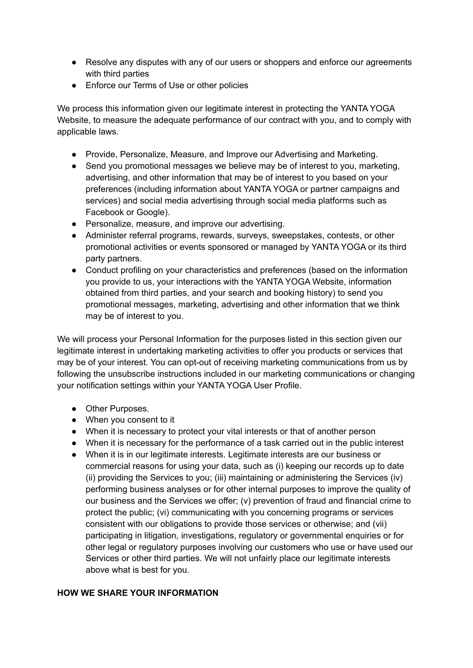- Resolve any disputes with any of our users or shoppers and enforce our agreements with third parties
- Enforce our Terms of Use or other policies

We process this information given our legitimate interest in protecting the YANTA YOGA Website, to measure the adequate performance of our contract with you, and to comply with applicable laws.

- Provide, Personalize, Measure, and Improve our Advertising and Marketing.
- Send you promotional messages we believe may be of interest to you, marketing, advertising, and other information that may be of interest to you based on your preferences (including information about YANTA YOGA or partner campaigns and services) and social media advertising through social media platforms such as Facebook or Google).
- Personalize, measure, and improve our advertising.
- Administer referral programs, rewards, surveys, sweepstakes, contests, or other promotional activities or events sponsored or managed by YANTA YOGA or its third party partners.
- Conduct profiling on your characteristics and preferences (based on the information you provide to us, your interactions with the YANTA YOGA Website, information obtained from third parties, and your search and booking history) to send you promotional messages, marketing, advertising and other information that we think may be of interest to you.

We will process your Personal Information for the purposes listed in this section given our legitimate interest in undertaking marketing activities to offer you products or services that may be of your interest. You can opt-out of receiving marketing communications from us by following the unsubscribe instructions included in our marketing communications or changing your notification settings within your YANTA YOGA User Profile.

- Other Purposes.
- When you consent to it
- When it is necessary to protect your vital interests or that of another person
- When it is necessary for the performance of a task carried out in the public interest
- When it is in our legitimate interests. Legitimate interests are our business or commercial reasons for using your data, such as (i) keeping our records up to date (ii) providing the Services to you; (iii) maintaining or administering the Services (iv) performing business analyses or for other internal purposes to improve the quality of our business and the Services we offer; (v) prevention of fraud and financial crime to protect the public; (vi) communicating with you concerning programs or services consistent with our obligations to provide those services or otherwise; and (vii) participating in litigation, investigations, regulatory or governmental enquiries or for other legal or regulatory purposes involving our customers who use or have used our Services or other third parties. We will not unfairly place our legitimate interests above what is best for you.

#### **HOW WE SHARE YOUR INFORMATION**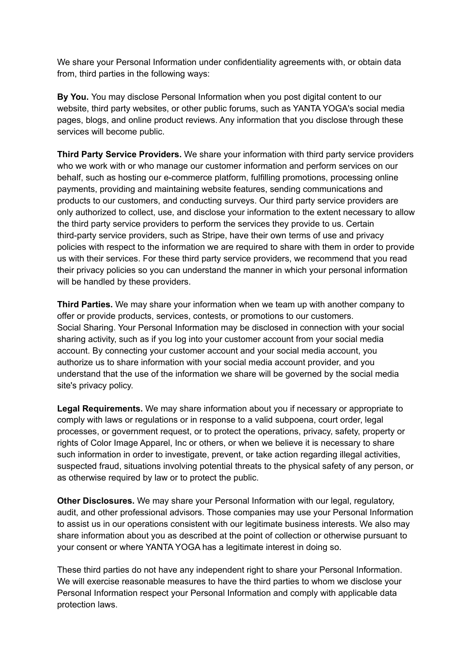We share your Personal Information under confidentiality agreements with, or obtain data from, third parties in the following ways:

**By You.** You may disclose Personal Information when you post digital content to our website, third party websites, or other public forums, such as YANTA YOGA's social media pages, blogs, and online product reviews. Any information that you disclose through these services will become public.

**Third Party Service Providers.** We share your information with third party service providers who we work with or who manage our customer information and perform services on our behalf, such as hosting our e-commerce platform, fulfilling promotions, processing online payments, providing and maintaining website features, sending communications and products to our customers, and conducting surveys. Our third party service providers are only authorized to collect, use, and disclose your information to the extent necessary to allow the third party service providers to perform the services they provide to us. Certain third-party service providers, such as Stripe, have their own terms of use and privacy policies with respect to the information we are required to share with them in order to provide us with their services. For these third party service providers, we recommend that you read their privacy policies so you can understand the manner in which your personal information will be handled by these providers.

**Third Parties.** We may share your information when we team up with another company to offer or provide products, services, contests, or promotions to our customers. Social Sharing. Your Personal Information may be disclosed in connection with your social sharing activity, such as if you log into your customer account from your social media account. By connecting your customer account and your social media account, you authorize us to share information with your social media account provider, and you understand that the use of the information we share will be governed by the social media site's privacy policy.

**Legal Requirements.** We may share information about you if necessary or appropriate to comply with laws or regulations or in response to a valid subpoena, court order, legal processes, or government request, or to protect the operations, privacy, safety, property or rights of Color Image Apparel, Inc or others, or when we believe it is necessary to share such information in order to investigate, prevent, or take action regarding illegal activities, suspected fraud, situations involving potential threats to the physical safety of any person, or as otherwise required by law or to protect the public.

**Other Disclosures.** We may share your Personal Information with our legal, regulatory, audit, and other professional advisors. Those companies may use your Personal Information to assist us in our operations consistent with our legitimate business interests. We also may share information about you as described at the point of collection or otherwise pursuant to your consent or where YANTA YOGA has a legitimate interest in doing so.

These third parties do not have any independent right to share your Personal Information. We will exercise reasonable measures to have the third parties to whom we disclose your Personal Information respect your Personal Information and comply with applicable data protection laws.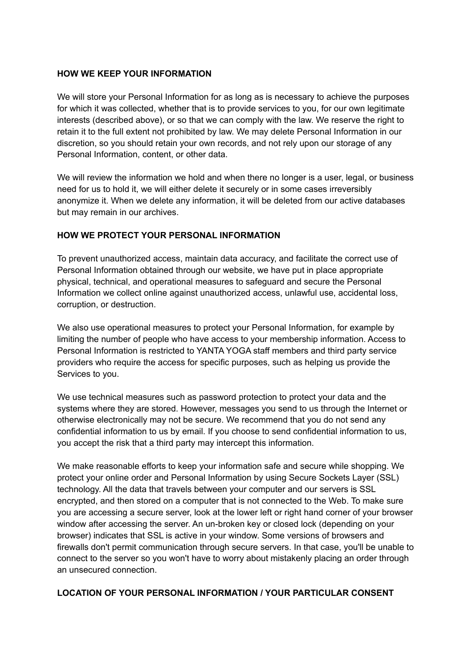#### **HOW WE KEEP YOUR INFORMATION**

We will store your Personal Information for as long as is necessary to achieve the purposes for which it was collected, whether that is to provide services to you, for our own legitimate interests (described above), or so that we can comply with the law. We reserve the right to retain it to the full extent not prohibited by law. We may delete Personal Information in our discretion, so you should retain your own records, and not rely upon our storage of any Personal Information, content, or other data.

We will review the information we hold and when there no longer is a user, legal, or business need for us to hold it, we will either delete it securely or in some cases irreversibly anonymize it. When we delete any information, it will be deleted from our active databases but may remain in our archives.

### **HOW WE PROTECT YOUR PERSONAL INFORMATION**

To prevent unauthorized access, maintain data accuracy, and facilitate the correct use of Personal Information obtained through our website, we have put in place appropriate physical, technical, and operational measures to safeguard and secure the Personal Information we collect online against unauthorized access, unlawful use, accidental loss, corruption, or destruction.

We also use operational measures to protect your Personal Information, for example by limiting the number of people who have access to your membership information. Access to Personal Information is restricted to YANTA YOGA staff members and third party service providers who require the access for specific purposes, such as helping us provide the Services to you.

We use technical measures such as password protection to protect your data and the systems where they are stored. However, messages you send to us through the Internet or otherwise electronically may not be secure. We recommend that you do not send any confidential information to us by email. If you choose to send confidential information to us, you accept the risk that a third party may intercept this information.

We make reasonable efforts to keep your information safe and secure while shopping. We protect your online order and Personal Information by using Secure Sockets Layer (SSL) technology. All the data that travels between your computer and our servers is SSL encrypted, and then stored on a computer that is not connected to the Web. To make sure you are accessing a secure server, look at the lower left or right hand corner of your browser window after accessing the server. An un-broken key or closed lock (depending on your browser) indicates that SSL is active in your window. Some versions of browsers and firewalls don't permit communication through secure servers. In that case, you'll be unable to connect to the server so you won't have to worry about mistakenly placing an order through an unsecured connection.

#### **LOCATION OF YOUR PERSONAL INFORMATION / YOUR PARTICULAR CONSENT**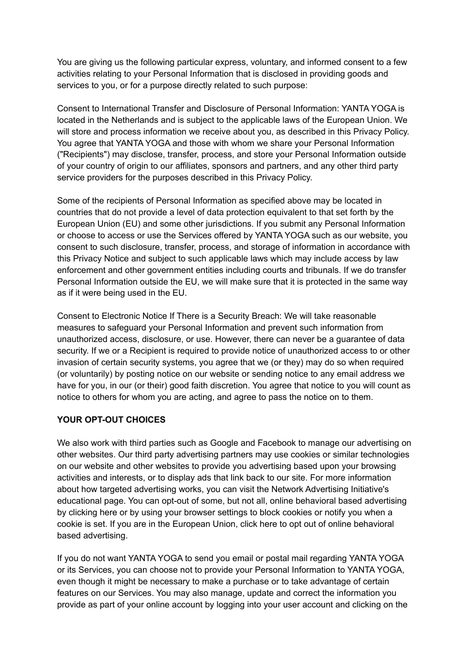You are giving us the following particular express, voluntary, and informed consent to a few activities relating to your Personal Information that is disclosed in providing goods and services to you, or for a purpose directly related to such purpose:

Consent to International Transfer and Disclosure of Personal Information: YANTA YOGA is located in the Netherlands and is subject to the applicable laws of the European Union. We will store and process information we receive about you, as described in this Privacy Policy. You agree that YANTA YOGA and those with whom we share your Personal Information ("Recipients") may disclose, transfer, process, and store your Personal Information outside of your country of origin to our affiliates, sponsors and partners, and any other third party service providers for the purposes described in this Privacy Policy.

Some of the recipients of Personal Information as specified above may be located in countries that do not provide a level of data protection equivalent to that set forth by the European Union (EU) and some other jurisdictions. If you submit any Personal Information or choose to access or use the Services offered by YANTA YOGA such as our website, you consent to such disclosure, transfer, process, and storage of information in accordance with this Privacy Notice and subject to such applicable laws which may include access by law enforcement and other government entities including courts and tribunals. If we do transfer Personal Information outside the EU, we will make sure that it is protected in the same way as if it were being used in the EU.

Consent to Electronic Notice If There is a Security Breach: We will take reasonable measures to safeguard your Personal Information and prevent such information from unauthorized access, disclosure, or use. However, there can never be a guarantee of data security. If we or a Recipient is required to provide notice of unauthorized access to or other invasion of certain security systems, you agree that we (or they) may do so when required (or voluntarily) by posting notice on our website or sending notice to any email address we have for you, in our (or their) good faith discretion. You agree that notice to you will count as notice to others for whom you are acting, and agree to pass the notice on to them.

#### **YOUR OPT-OUT CHOICES**

We also work with third parties such as Google and Facebook to manage our advertising on other websites. Our third party advertising partners may use cookies or similar technologies on our website and other websites to provide you advertising based upon your browsing activities and interests, or to display ads that link back to our site. For more information about how targeted advertising works, you can visit the Network Advertising Initiative's educational page. You can opt-out of some, but not all, online behavioral based advertising by clicking here or by using your browser settings to block cookies or notify you when a cookie is set. If you are in the European Union, click here to opt out of online behavioral based advertising.

If you do not want YANTA YOGA to send you email or postal mail regarding YANTA YOGA or its Services, you can choose not to provide your Personal Information to YANTA YOGA, even though it might be necessary to make a purchase or to take advantage of certain features on our Services. You may also manage, update and correct the information you provide as part of your online account by logging into your user account and clicking on the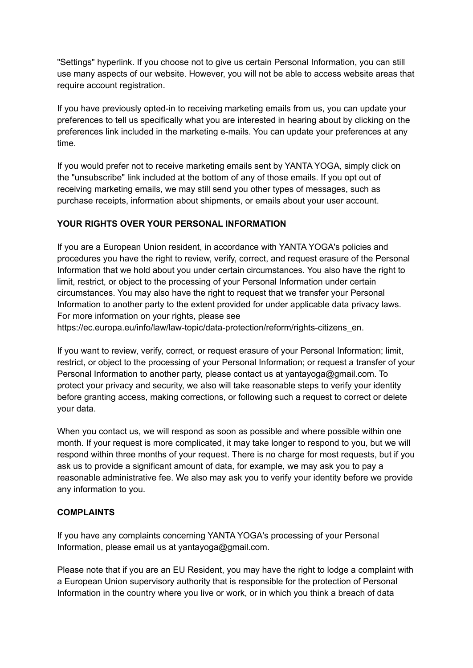"Settings" hyperlink. If you choose not to give us certain Personal Information, you can still use many aspects of our website. However, you will not be able to access website areas that require account registration.

If you have previously opted-in to receiving marketing emails from us, you can update your preferences to tell us specifically what you are interested in hearing about by clicking on the preferences link included in the marketing e-mails. You can update your preferences at any time.

If you would prefer not to receive marketing emails sent by YANTA YOGA, simply click on the "unsubscribe" link included at the bottom of any of those emails. If you opt out of receiving marketing emails, we may still send you other types of messages, such as purchase receipts, information about shipments, or emails about your user account.

### **YOUR RIGHTS OVER YOUR PERSONAL INFORMATION**

If you are a European Union resident, in accordance with YANTA YOGA's policies and procedures you have the right to review, verify, correct, and request erasure of the Personal Information that we hold about you under certain circumstances. You also have the right to limit, restrict, or object to the processing of your Personal Information under certain circumstances. You may also have the right to request that we transfer your Personal Information to another party to the extent provided for under applicable data privacy laws. For more information on your rights, please see

https://ec.europa.eu/info/law/law-topic/data-protection/reform/rights-citizens\_en.

If you want to review, verify, correct, or request erasure of your Personal Information; limit, restrict, or object to the processing of your Personal Information; or request a transfer of your Personal Information to another party, please contact us at yantayoga@gmail.com. To protect your privacy and security, we also will take reasonable steps to verify your identity before granting access, making corrections, or following such a request to correct or delete your data.

When you contact us, we will respond as soon as possible and where possible within one month. If your request is more complicated, it may take longer to respond to you, but we will respond within three months of your request. There is no charge for most requests, but if you ask us to provide a significant amount of data, for example, we may ask you to pay a reasonable administrative fee. We also may ask you to verify your identity before we provide any information to you.

### **COMPLAINTS**

If you have any complaints concerning YANTA YOGA's processing of your Personal Information, please email us at yantayoga@gmail.com.

Please note that if you are an EU Resident, you may have the right to lodge a complaint with a European Union supervisory authority that is responsible for the protection of Personal Information in the country where you live or work, or in which you think a breach of data